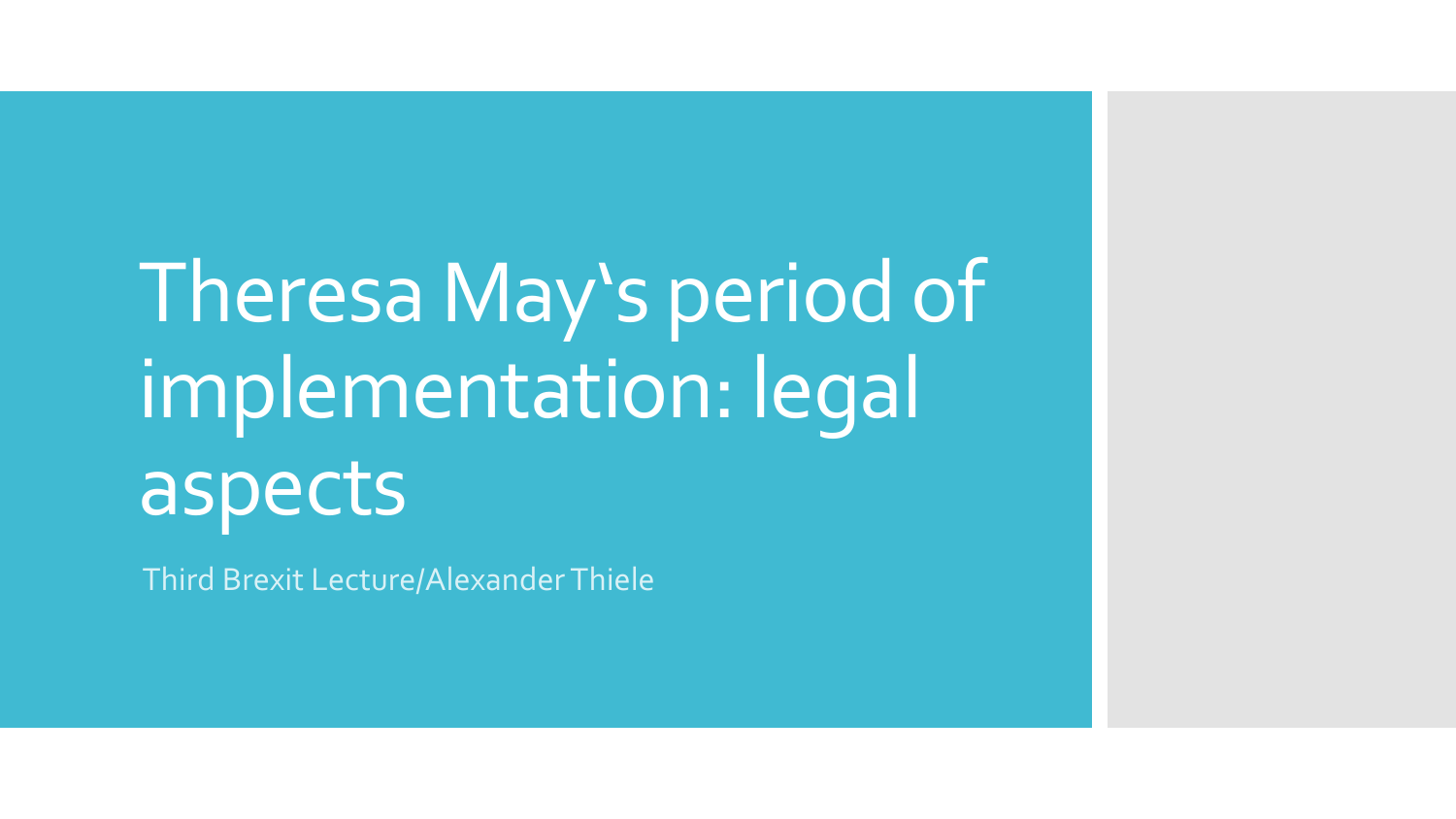# Theresa May's period of implementation: legal aspects

Third Brexit Lecture/Alexander Thiele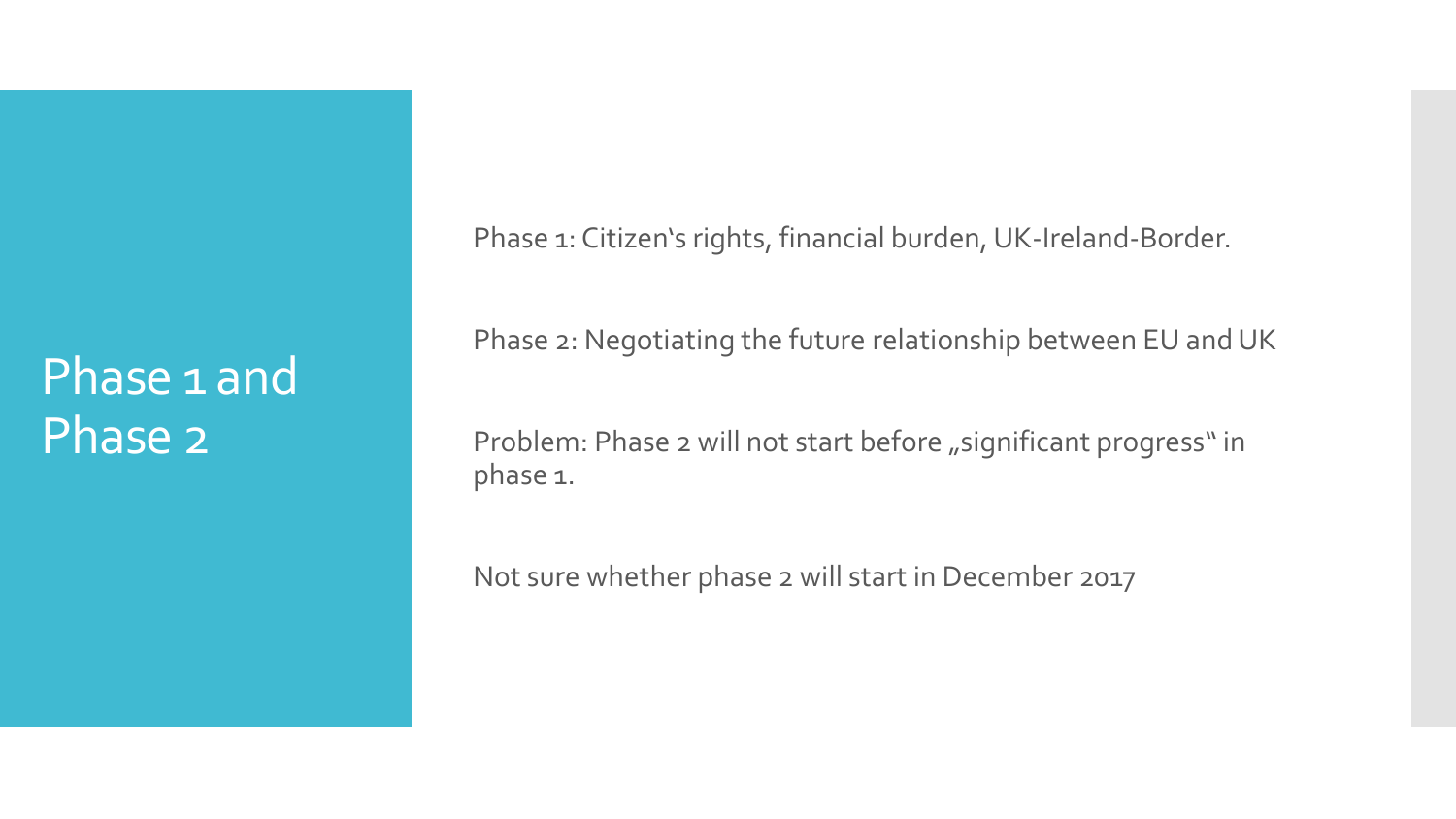#### Phase 1 and Phase 2

Phase 1: Citizen's rights, financial burden, UK-Ireland-Border.

Phase 2: Negotiating the future relationship between EU and UK

Problem: Phase 2 will not start before "significant progress" in phase 1.

Not sure whether phase 2 will start in December 2017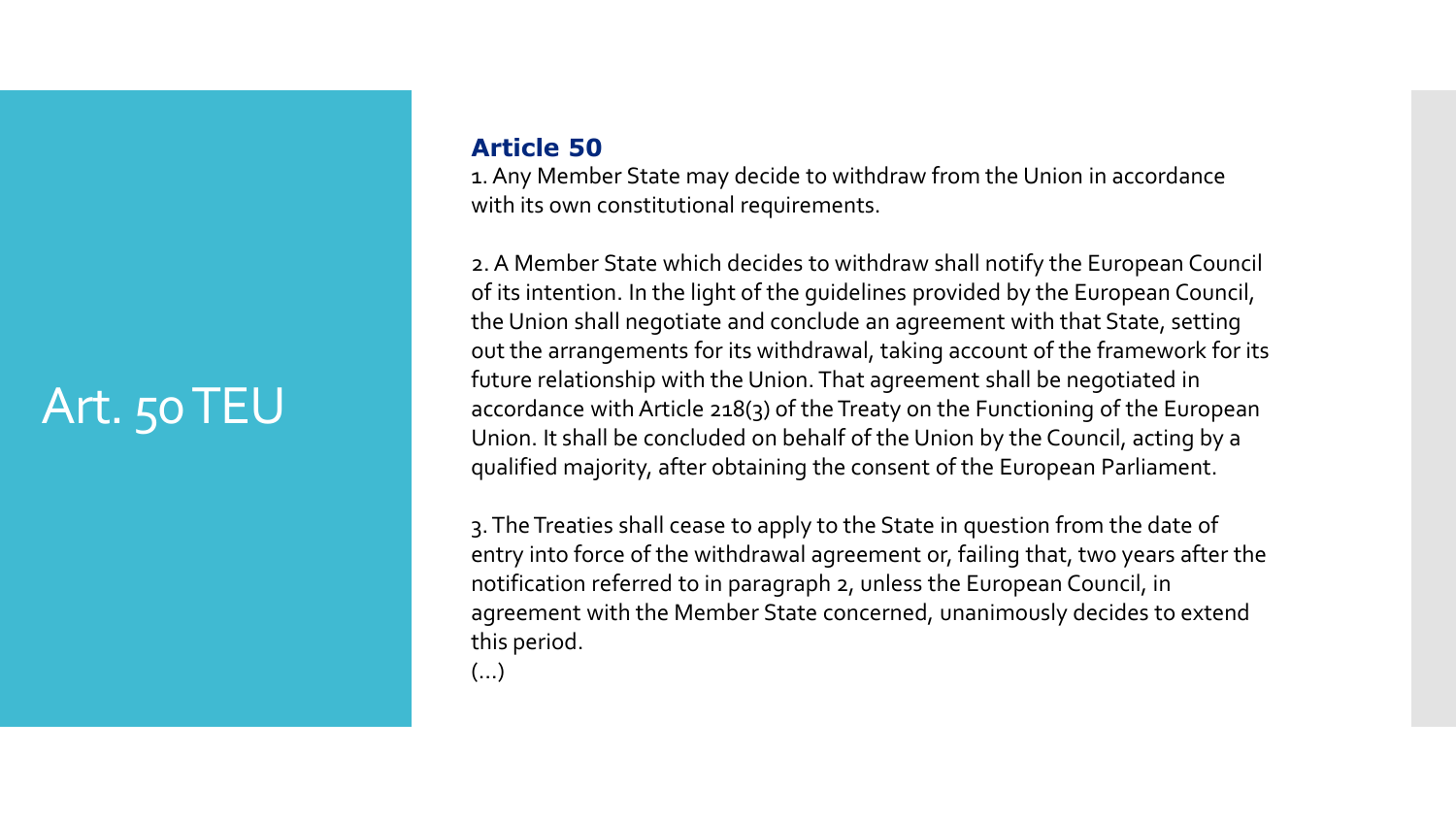### Art. 50 TEU

#### **Article 50**

1. Any Member State may decide to withdraw from the Union in accordance with its own constitutional requirements.

2. A Member State which decides to withdraw shall notify the European Council of its intention. In the light of the guidelines provided by the European Council, the Union shall negotiate and conclude an agreement with that State, setting out the arrangements for its withdrawal, taking account of the framework for its future relationship with the Union. That agreement shall be negotiated in accordance with Article 218(3) of the Treaty on the Functioning of the European Union. It shall be concluded on behalf of the Union by the Council, acting by a qualified majority, after obtaining the consent of the European Parliament.

3. The Treaties shall cease to apply to the State in question from the date of entry into force of the withdrawal agreement or, failing that, two years after the notification referred to in paragraph 2, unless the European Council, in agreement with the Member State concerned, unanimously decides to extend this period.

(…)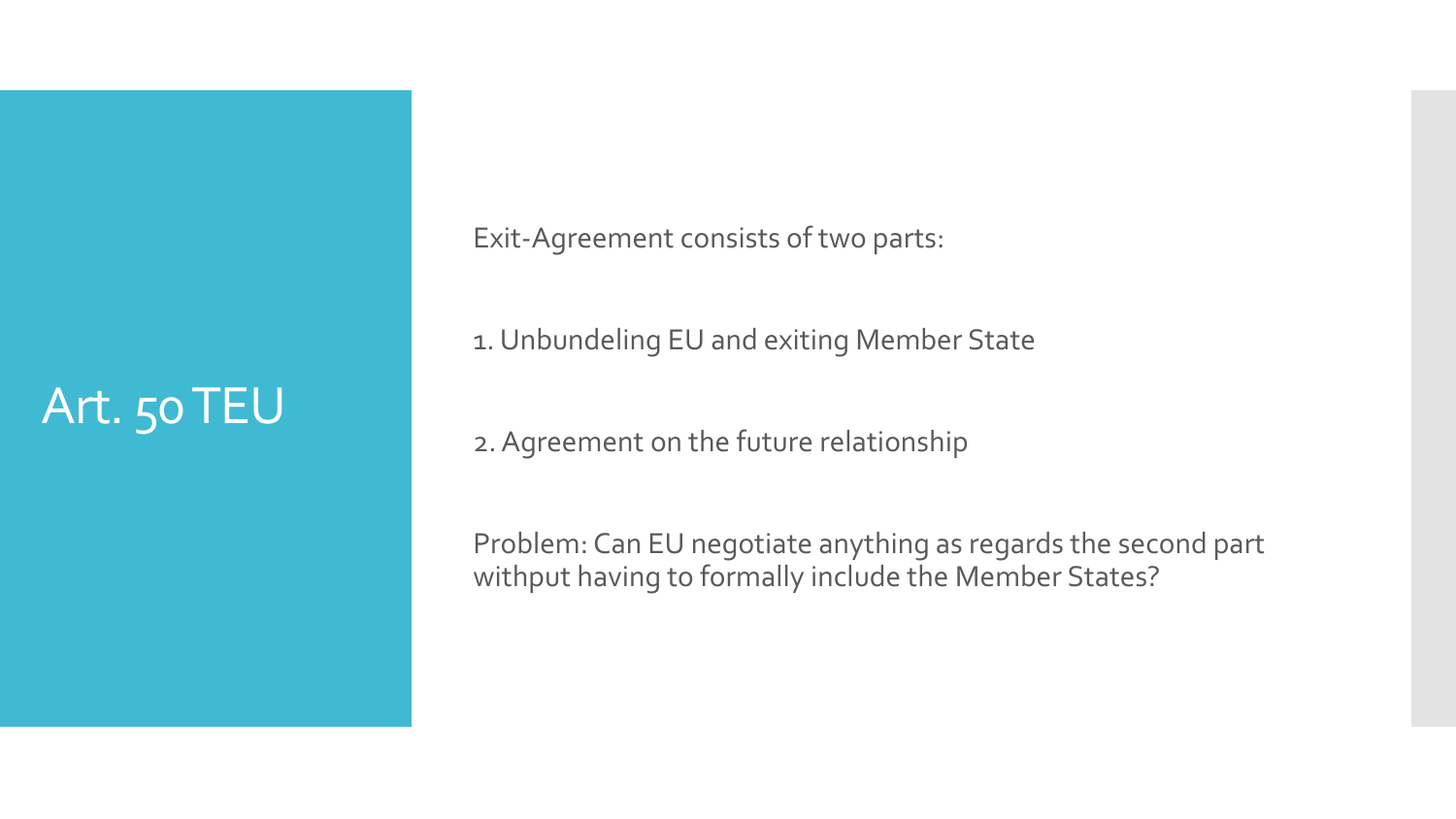#### Art. 50 TEU

Exit-Agreement consists of two parts:

1. Unbundeling EU and exiting Member State

2. Agreement on the future relationship

Problem: Can EU negotiate anything as regards the second part withput having to formally include the Member States?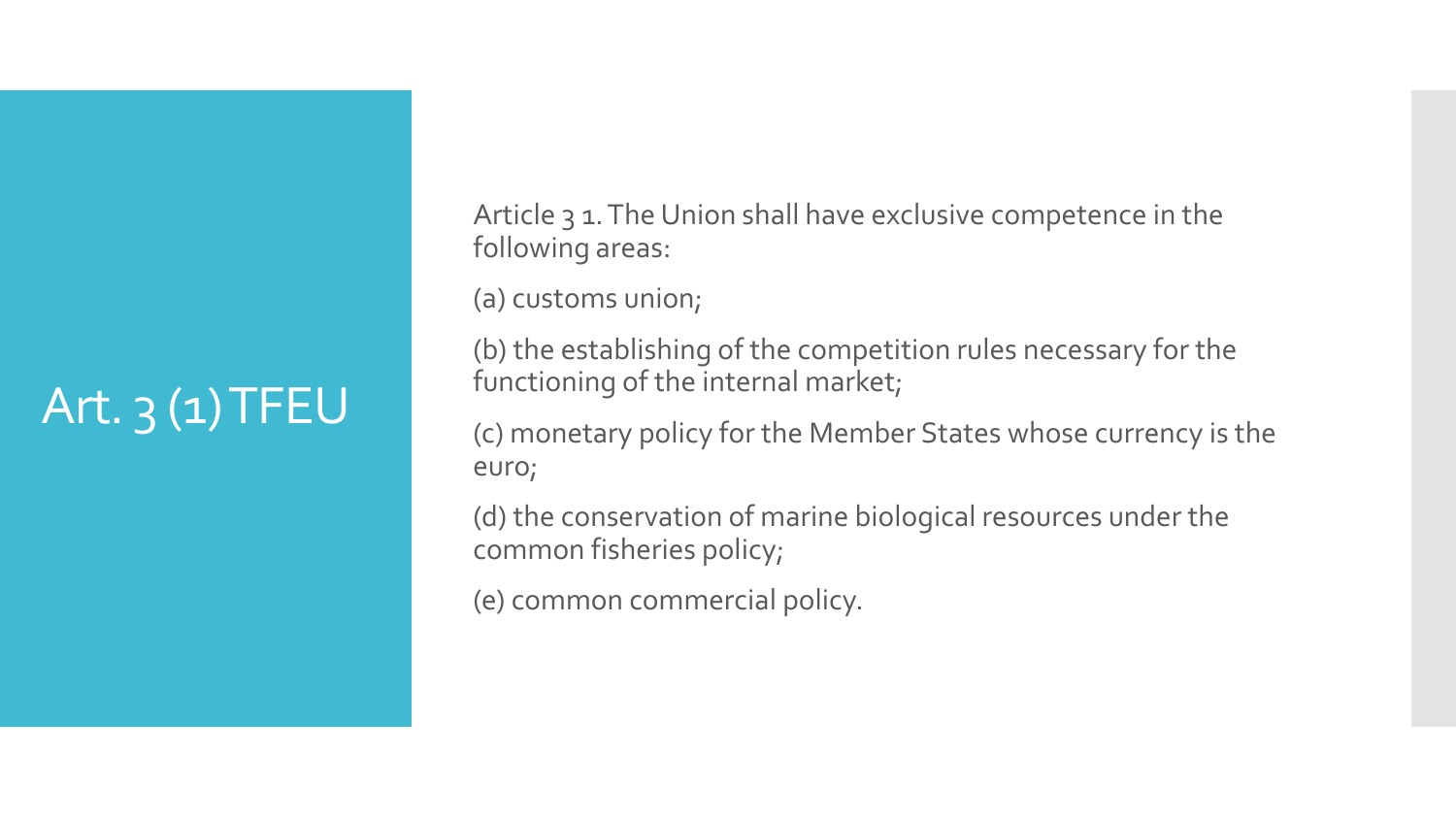## Art.  $3(1)$  TFEU

Article 3 1. The Union shall have exclusive competence in the following areas:

(a) customs union;

(b) the establishing of the competition rules necessary for the functioning of the internal market;

(c) monetary policy for the Member States whose currency is the euro;

(d) the conservation of marine biological resources under the common fisheries policy;

(e) common commercial policy.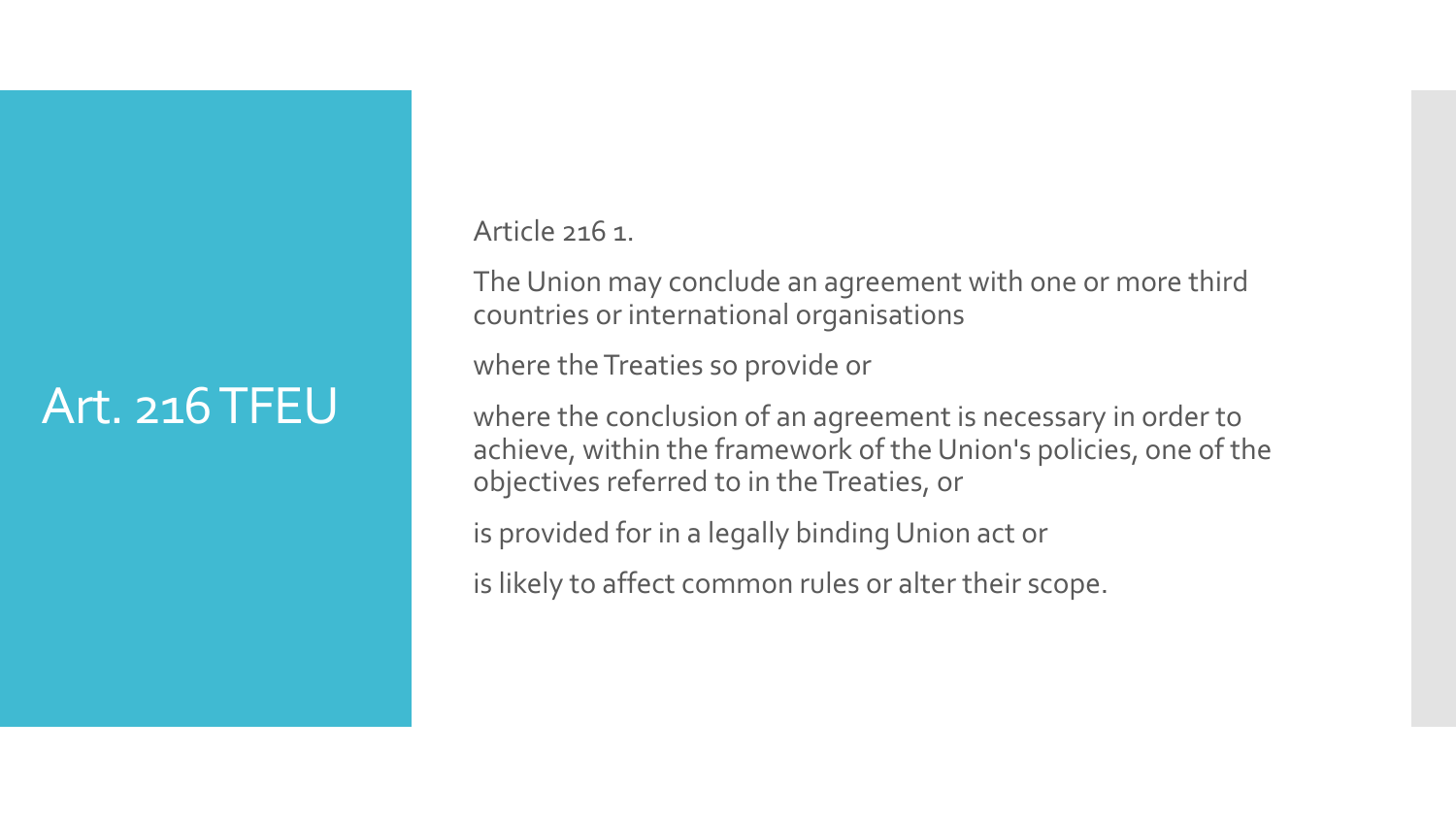#### Art. 216 TFEU

Article 216 1.

The Union may conclude an agreement with one or more third countries or international organisations

where the Treaties so provide or

where the conclusion of an agreement is necessary in order to achieve, within the framework of the Union's policies, one of the objectives referred to in the Treaties, or

is provided for in a legally binding Union act or

is likely to affect common rules or alter their scope.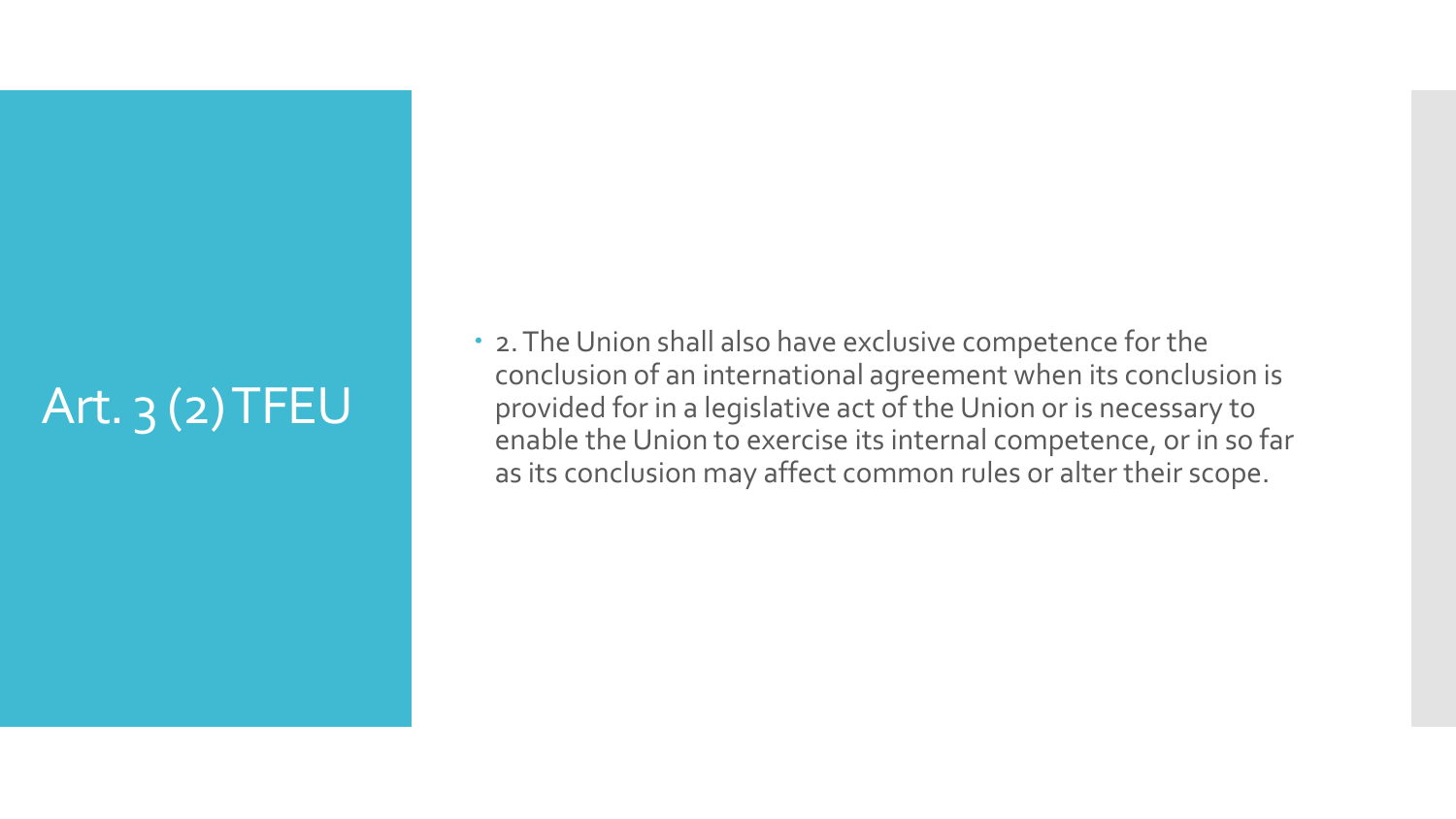### Art.  $3(2)$  TFEU

 2. The Union shall also have exclusive competence for the conclusion of an international agreement when its conclusion is provided for in a legislative act of the Union or is necessary to enable the Union to exercise its internal competence, or in so far as its conclusion may affect common rules or alter their scope.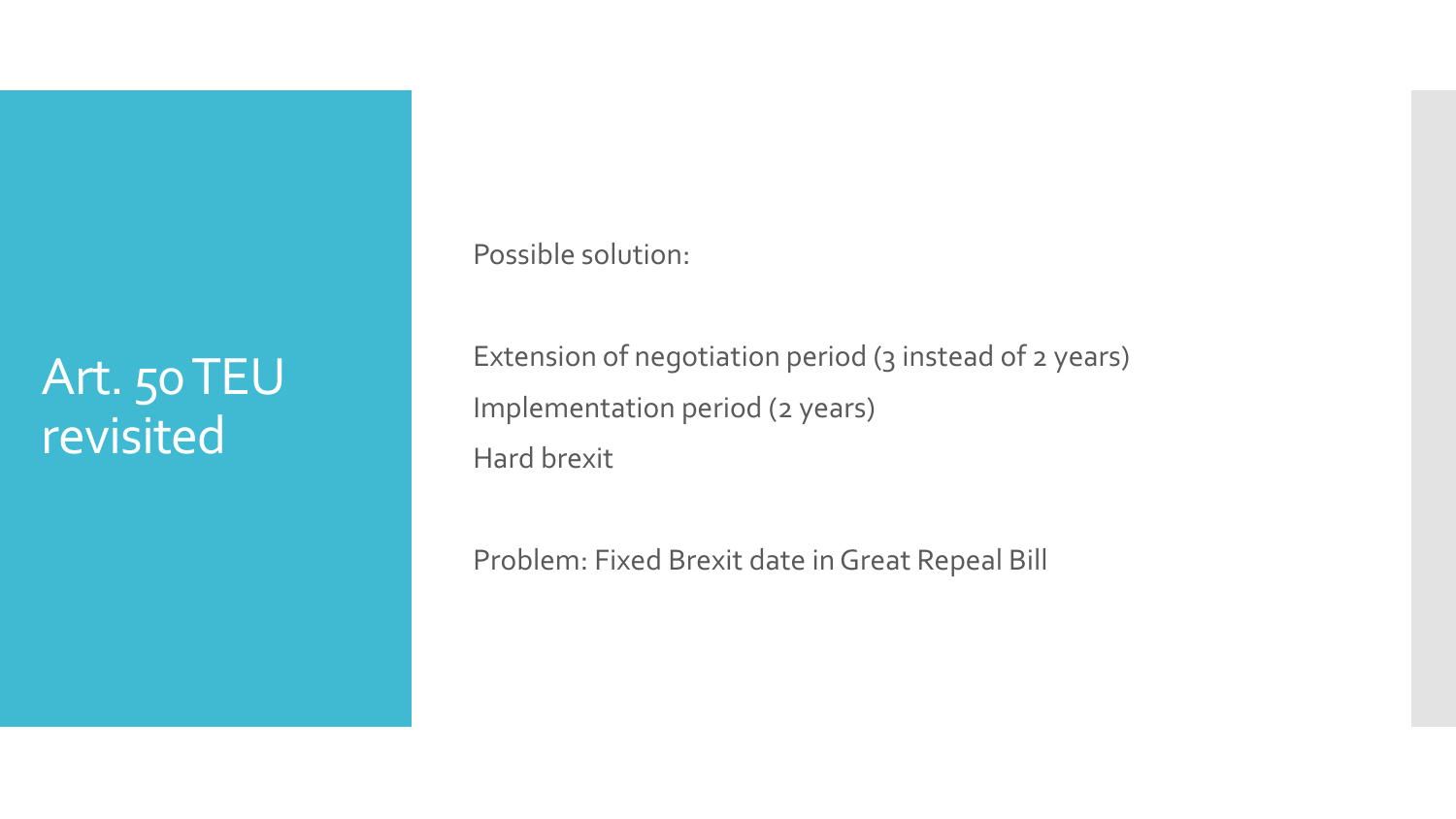#### Art. 50 TEU revisited

Possible solution:

Extension of negotiation period (3 instead of 2 years) Implementation period (2 years) Hard brexit

Problem: Fixed Brexit date in Great Repeal Bill